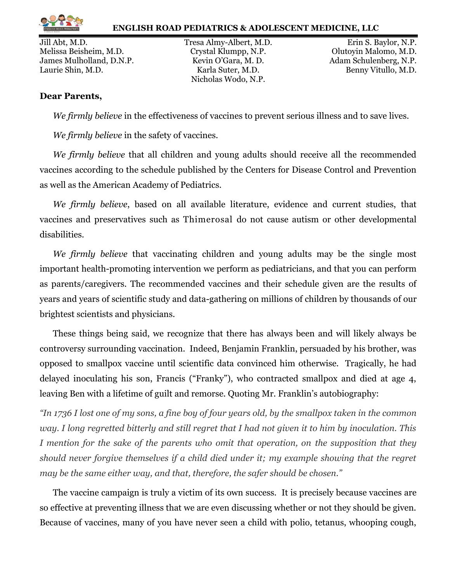

Melissa Beisheim, M.D. Crystal Klumpp, N.P. Olutoyin Malomo, M.D. James Mulholland, D.N.P. Kevin O'Gara, M. D. Adam Schulenberg, N.P. Laurie Shin, M.D. **Example 2.1 Starting Street Example 2.1 Sensitive Contract According Contract According Control Contract According Contract According M.D.** Benny Vitullo, M.D.

Nicholas Wodo, N.P.

Jill Abt, M.D. Tresa Almy-Albert, M.D. Erin S. Baylor, N.P.

## **Dear Parents,**

*We firmly believe* in the effectiveness of vaccines to prevent serious illness and to save lives.

*We firmly believe* in the safety of vaccines.

*We firmly believe* that all children and young adults should receive all the recommended vaccines according to the schedule published by the Centers for Disease Control and Prevention as well as the American Academy of Pediatrics.

*We firmly believe*, based on all available literature, evidence and current studies, that vaccines and preservatives such as Thimerosal do not cause autism or other developmental disabilities.

*We firmly believe* that vaccinating children and young adults may be the single most important health-promoting intervention we perform as pediatricians, and that you can perform as parents/caregivers. The recommended vaccines and their schedule given are the results of years and years of scientific study and data-gathering on millions of children by thousands of our brightest scientists and physicians.

These things being said, we recognize that there has always been and will likely always be controversy surrounding vaccination. Indeed, Benjamin Franklin, persuaded by his brother, was opposed to smallpox vaccine until scientific data convinced him otherwise. Tragically, he had delayed inoculating his son, Francis ("Franky"), who contracted smallpox and died at age 4, leaving Ben with a lifetime of guilt and remorse. Quoting Mr. Franklin's autobiography:

*"In 1736 I lost one of my sons, a fine boy of four years old, by the smallpox taken in the common way. I long regretted bitterly and still regret that I had not given it to him by inoculation. This I* mention for the sake of the parents who omit that operation, on the supposition that they *should never forgive themselves if a child died under it; my example showing that the regret may be the same either way, and that, therefore, the safer should be chosen."*

The vaccine campaign is truly a victim of its own success. It is precisely because vaccines are so effective at preventing illness that we are even discussing whether or not they should be given. Because of vaccines, many of you have never seen a child with polio, tetanus, whooping cough,